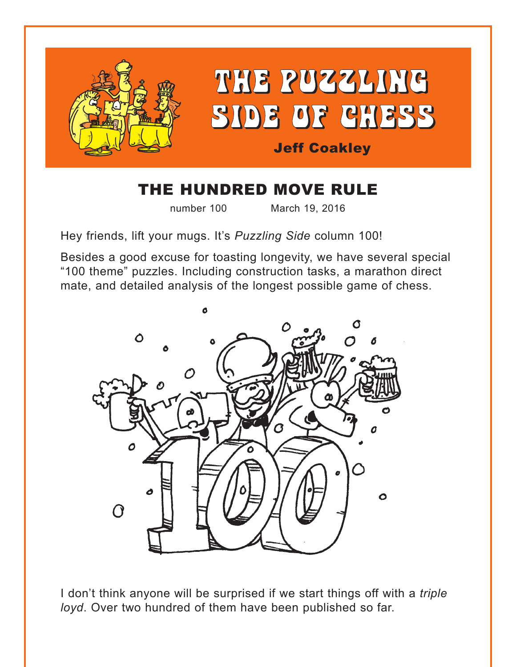

# THE HUNDRED MOVE RULE

number 100 March 19, 2016

Hey friends, lift your mugs. It's *Puzzling Side* column 100!

Besides a good excuse for toasting longevity, we have several special "100 theme" puzzles. Including construction tasks, a marathon direct mate, and detailed analysis of the longest possible game of chess.



I don't think anyone will be surprised if we start things off with a *triple loyd*. Over two hundred of them have been published so far.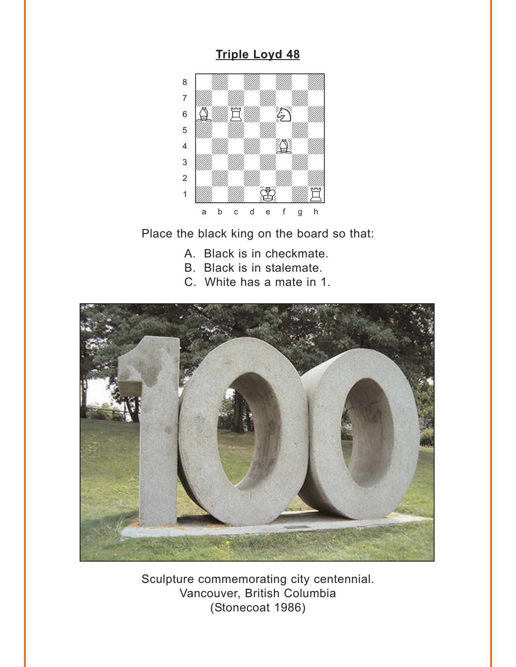#### **Triple Loyd 48**

<span id="page-1-0"></span>

Place the black king on the board so that:

- A. Black is in checkmate.
- B. Black is in stalemate.
- C. White has a mate in 1.



Sculpture commemorating city centennial. Vancouver, British Columbia (Stonecoat 1986)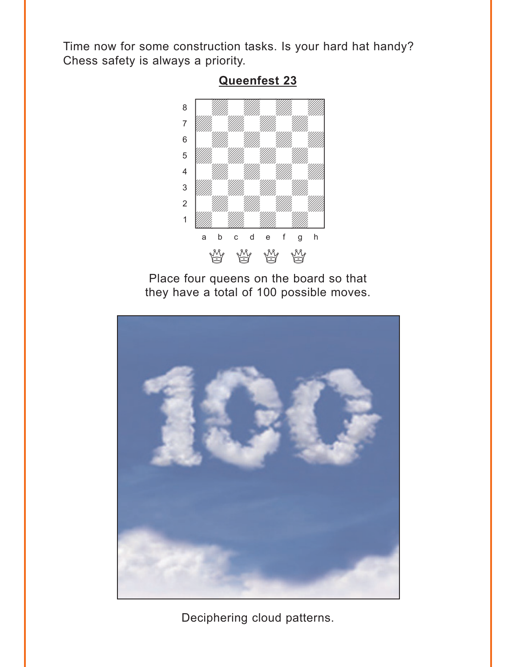<span id="page-2-0"></span>Time now for some construction tasks. Is your hard hat handy? Chess safety is always a priority.



**[Queenfest 23](#page-9-0)**

Place four queens on the board so that they have a total of 100 possible moves.



Deciphering cloud patterns.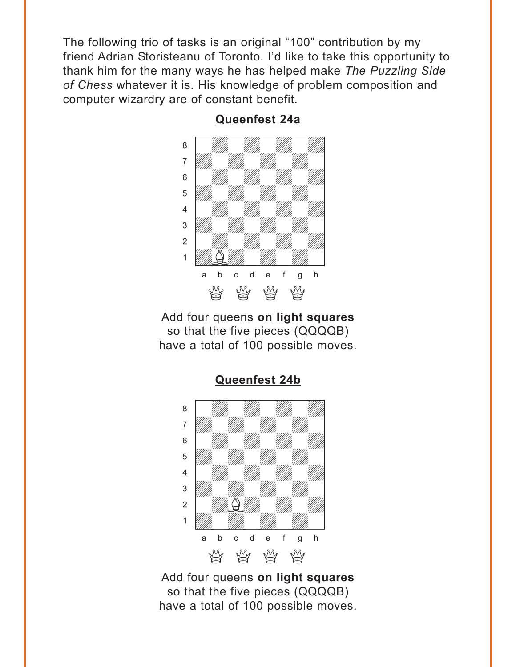<span id="page-3-0"></span>The following trio of tasks is an original "100" contribution by my friend Adrian Storisteanu of Toronto. I'd like to take this opportunity to thank him for the many ways he has helped make *The Puzzling Side of Chess* whatever it is. His knowledge of problem composition and computer wizardry are of constant benefit.



**[Queenfest 24a](#page-10-0)**

Add four queens **on light squares** so that the five pieces (QQQQB) have a total of 100 possible moves.



Add four queens **on light squares** so that the five pieces (QQQQB) have a total of 100 possible moves.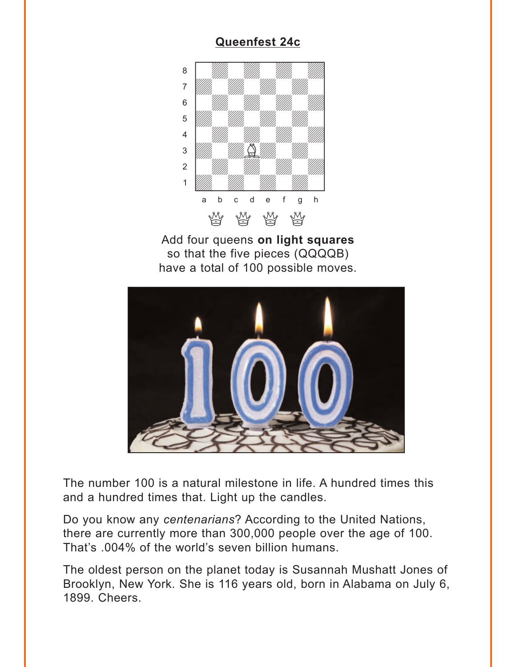## **[Queenfest 24c](#page-11-0)**

<span id="page-4-0"></span>

Add four queens **on light squares** so that the five pieces (QQQQB) have a total of 100 possible moves.



The number 100 is a natural milestone in life. A hundred times this and a hundred times that. Light up the candles.

Do you know any *centenarians*? According to the United Nations, there are currently more than 300,000 people over the age of 100. That's .004% of the world's seven billion humans.

The oldest person on the planet today is Susannah Mushatt Jones of Brooklyn, New York. She is 116 years old, born in Alabama on July 6, 1899. Cheers.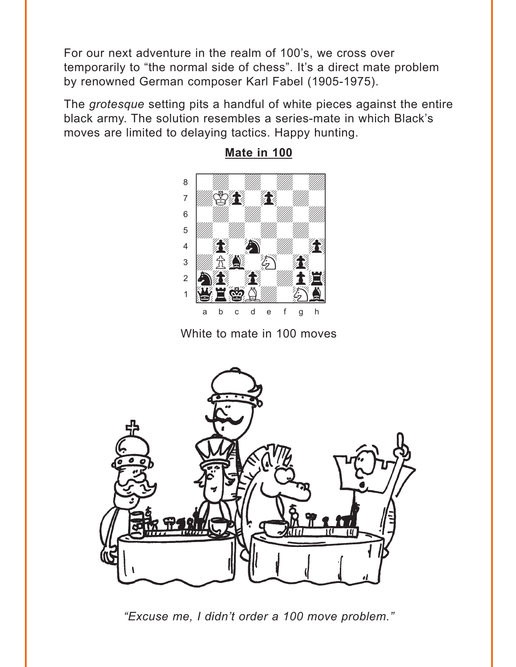<span id="page-5-0"></span>For our next adventure in the realm of 100's, we cross over temporarily to "the normal side of chess". It's a direct mate problem by renowned German composer Karl Fabel (1905-1975).

The grotesque setting pits a handful of white pieces against the entire black army. The solution resembles a series-mate in which Black's moves are limited to delaying tactics. Happy hunting.



Mate in 100

White to mate in 100 moves



"Excuse me, I didn't order a 100 move problem."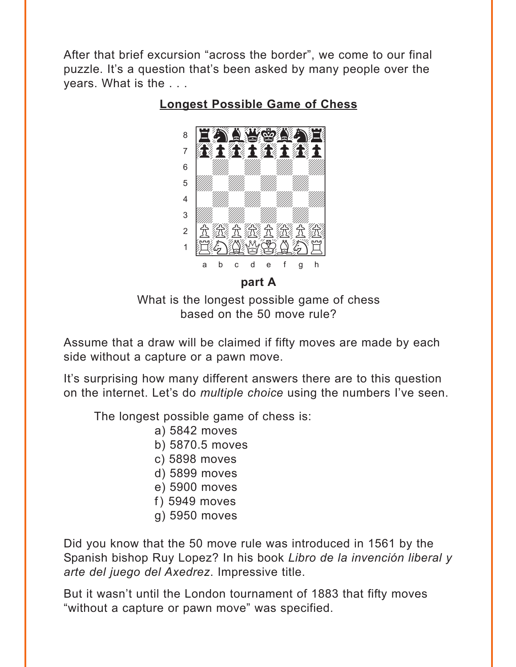<span id="page-6-0"></span>After that brief excursion "across the border", we come to our final puzzle. It's a question that's been asked by many people over the years. What is the . . .



**[Longest Possible Game of Chess](#page-16-0)**

**part A**

What is the longest possible game of chess based on the 50 move rule?

Assume that a draw will be claimed if fifty moves are made by each side without a capture or a pawn move.

It's surprising how many different answers there are to this question on the internet. Let's do *multiple choice* using the numbers I've seen.

The longest possible game of chess is:

- a) 5842 moves
- b) 5870.5 moves
- c) 5898 moves
- d) 5899 moves
- e) 5900 moves
- f) 5949 moves
- g) 5950 moves

Did you know that the 50 move rule was introduced in 1561 by the Spanish bishop Ruy Lopez? In his book *Libro de la invención liberal y arte del juego del Axedrez*. Impressive title.

But it wasn't until the London tournament of 1883 that fifty moves "without a capture or pawn move" was specified.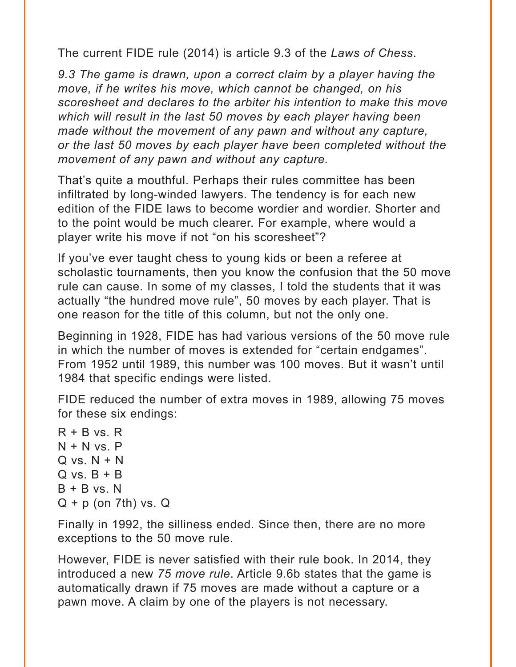The current FIDE rule (2014) is article 9.3 of the *Laws of Chess*.

*9.3 The game is drawn, upon a correct claim by a player having the move, if he writes his move, which cannot be changed, on his scoresheet and declares to the arbiter his intention to make this move which will result in the last 50 moves by each player having been made without the movement of any pawn and without any capture, or the last 50 moves by each player have been completed without the movement of any pawn and without any capture.*

That's quite a mouthful. Perhaps their rules committee has been infiltrated by long-winded lawyers. The tendency is for each new edition of the FIDE laws to become wordier and wordier. Shorter and to the point would be much clearer. For example, where would a player write his move if not "on his scoresheet"?

If you've ever taught chess to young kids or been a referee at scholastic tournaments, then you know the confusion that the 50 move rule can cause. In some of my classes, I told the students that it was actually "the hundred move rule", 50 moves by each player. That is one reason for the title of this column, but not the only one.

Beginning in 1928, FIDE has had various versions of the 50 move rule in which the number of moves is extended for "certain endgames". From 1952 until 1989, this number was 100 moves. But it wasn't until 1984 that specific endings were listed.

FIDE reduced the number of extra moves in 1989, allowing 75 moves for these six endings:

 $R + B$  vs.  $R$  $N + N$  vs.  $P$  $Q$  vs.  $N + N$  $Q$  vs.  $B + B$  $B + B vs. N$  $Q + p$  (on 7th) vs.  $Q$ 

Finally in 1992, the silliness ended. Since then, there are no more exceptions to the 50 move rule.

However, FIDE is never satisfied with their rule book. In 2014, they introduced a new *75 move rule*. Article 9.6b states that the game is automatically drawn if 75 moves are made without a capture or a pawn move. A claim by one of the players is not necessary.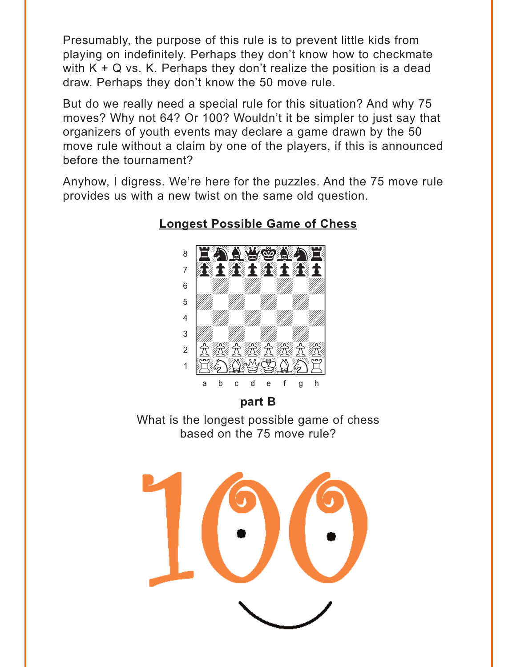<span id="page-8-0"></span>Presumably, the purpose of this rule is to prevent little kids from playing on indefinitely. Perhaps they don't know how to checkmate with  $K + Q$  vs. K. Perhaps they don't realize the position is a dead draw. Perhaps they don't know the 50 move rule.

But do we really need a special rule for this situation? And why 75 moves? Why not 64? Or 100? Wouldn't it be simpler to just say that organizers of youth events may declare a game drawn by the 50 move rule without a claim by one of the players, if this is announced before the tournament?

Anyhow, I digress. We're here for the puzzles. And the 75 move rule provides us with a new twist on the same old question.



#### **Longest Possible Game of Chess**

part B

What is the longest possible game of chess based on the 75 move rule?

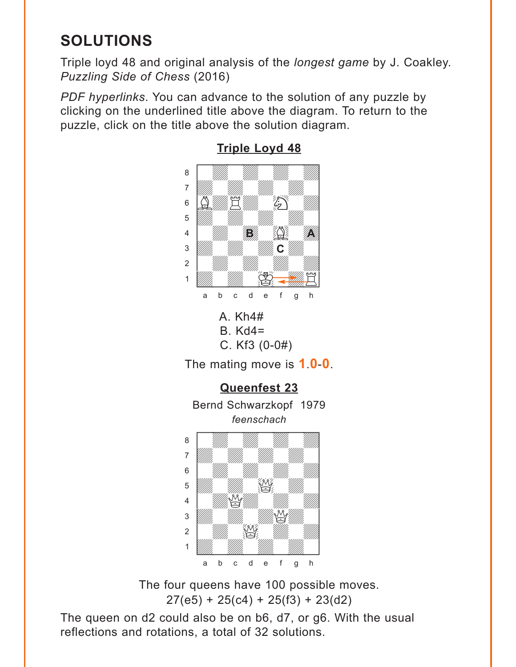# <span id="page-9-0"></span>**SOLUTIONS**

Triple loyd 48 and original analysis of the *longest game* by J. Coakley. *Puzzling Side of Chess* (2016)

*PDF hyperlinks*. You can advance to the solution of any puzzle by clicking on the underlined title above the diagram. To return to the puzzle, click on the title above the solution diagram.



## **[Triple Loyd 48](#page-1-0)**



The four queens have 100 possible moves.  $27(e5) + 25(c4) + 25(f3) + 23(d2)$ 

The queen on d2 could also be on b6, d7, or g6. With the usual reflections and rotations, a total of 32 solutions.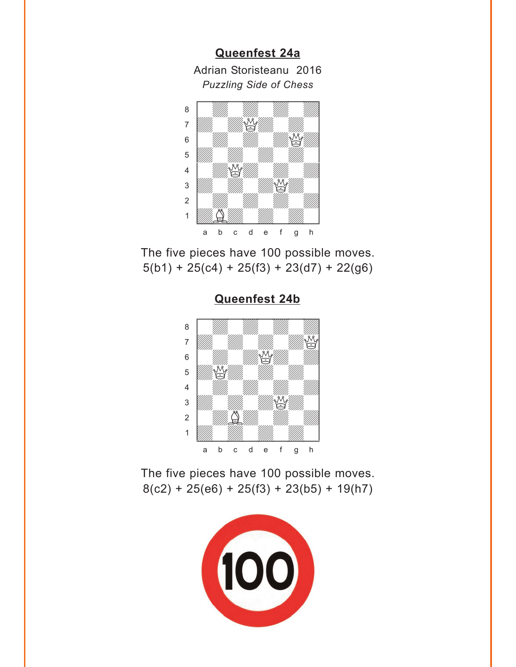**[Queenfest 24a](#page-3-0)**

Adrian Storisteanu 2016 *Puzzling Side of Chess*

<span id="page-10-0"></span>

The five pieces have 100 possible moves.  $5(b1) + 25(c4) + 25(f3) + 23(d7) + 22(g6)$ 



**[Queenfest 24b](#page-3-0)**

The five pieces have 100 possible moves.  $8(c2) + 25(e6) + 25(f3) + 23(b5) + 19(h7)$ 

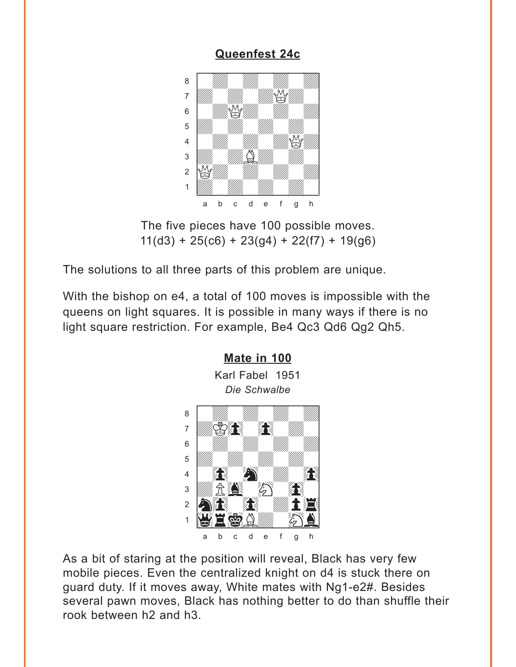#### **[Queenfest 24c](#page-4-0)**

<span id="page-11-0"></span>

The five pieces have 100 possible moves.  $11(d3) + 25(c6) + 23(g4) + 22(f7) + 19(g6)$ 

The solutions to all three parts of this problem are unique.

With the bishop on e4, a total of 100 moves is impossible with the queens on light squares. It is possible in many ways if there is no light square restriction. For example, Be4 Qc3 Qd6 Qg2 Qh5.



As a bit of staring at the position will reveal, Black has very few mobile pieces. Even the centralized knight on d4 is stuck there on guard duty. If it moves away, White mates with Ng1-e2#. Besides several pawn moves, Black has nothing better to do than shuffle their rook between h2 and h3.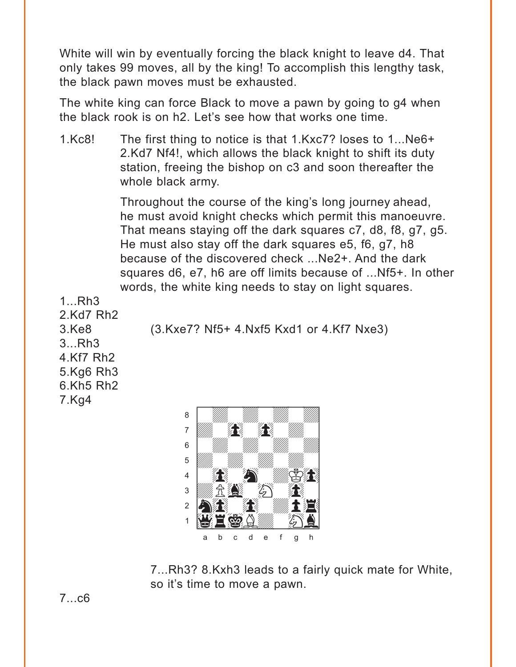White will win by eventually forcing the black knight to leave d4. That only takes 99 moves, all by the king! To accomplish this lengthy task, the black pawn moves must be exhausted.

The white king can force Black to move a pawn by going to g4 when the black rook is on h2. Let's see how that works one time.

1.Kc8! The first thing to notice is that 1.Kxc7? loses to 1...Ne6+ 2.Kd7 Nf4!, which allows the black knight to shift its duty station, freeing the bishop on c3 and soon thereafter the whole black army.

> Throughout the course of the king's long journey ahead, he must avoid knight checks which permit this manoeuvre. That means staying off the dark squares c7, d8, f8, g7, g5. He must also stay off the dark squares e5, f6, g7, h8 because of the discovered check ...Ne2+. And the dark squares d6, e7, h6 are off limits because of ...Nf5+. In other words, the white king needs to stay on light squares.

1...Rh3 2.Kd7 Rh2 3...Rh3 4.Kf7 Rh2 5.Kg6 Rh3 6.Kh5 Rh2 7.Kg4

3.Ke8 (3.Kxe7? Nf5+ 4.Nxf5 Kxd1 or 4.Kf7 Nxe3)



7...Rh3? 8.Kxh3 leads to a fairly quick mate for White, so it's time to move a pawn.

7...c6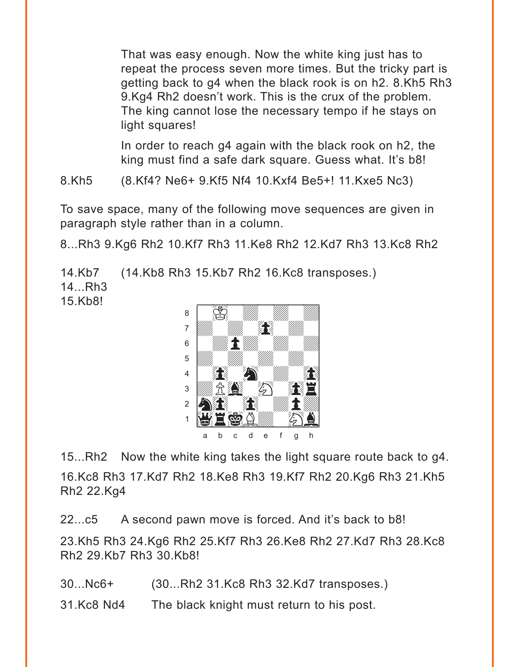That was easy enough. Now the white king just has to repeat the process seven more times. But the tricky part is getting back to g4 when the black rook is on h2. 8.Kh5 Rh3 9.Kg4 Rh2 doesn't work. This is the crux of the problem. The king cannot lose the necessary tempo if he stays on light squares!

In order to reach g4 again with the black rook on h2, the king must find a safe dark square. Guess what. It's b8!

8.Kh5 (8.Kf4? Ne6+ 9.Kf5 Nf4 10.Kxf4 Be5+! 11.Kxe5 Nc3)

To save space, many of the following move sequences are given in paragraph style rather than in a column.

8...Rh3 9.Kg6 Rh2 10.Kf7 Rh3 11.Ke8 Rh2 12.Kd7 Rh3 13.Kc8 Rh2

14.Kb7 (14.Kb8 Rh3 15.Kb7 Rh2 16.Kc8 transposes.)

14...Rh3 15.Kb8!



15...Rh2 Now the white king takes the light square route back to g4. 16.Kc8 Rh3 17.Kd7 Rh2 18.Ke8 Rh3 19.Kf7 Rh2 20.Kg6 Rh3 21.Kh5 Rh2 22.Kg4

22...c5 A second pawn move is forced. And it's back to b8!

23.Kh5 Rh3 24.Kg6 Rh2 25.Kf7 Rh3 26.Ke8 Rh2 27.Kd7 Rh3 28.Kc8 Rh2 29.Kb7 Rh3 30.Kb8!

30...Nc6+ (30...Rh2 31.Kc8 Rh3 32.Kd7 transposes.)

31.Kc8 Nd4 The black knight must return to his post.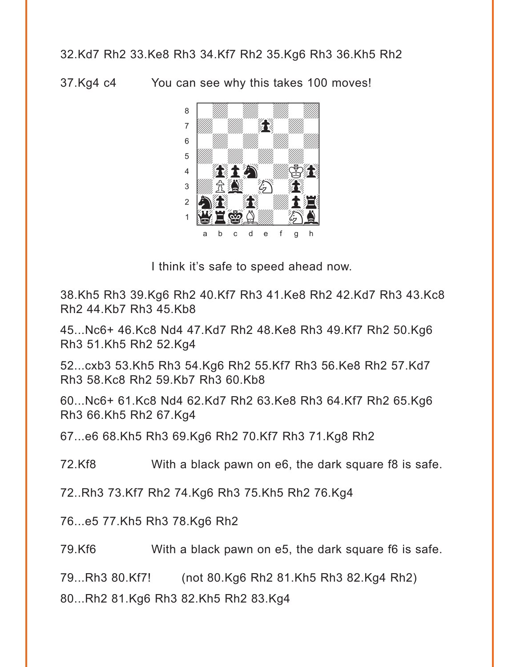#### 32.Kd7 Rh2 33.Ke8 Rh3 34.Kf7 Rh2 35.Kg6 Rh3 36.Kh5 Rh2

37.Kg4 c4 You can see why this takes 100 moves!



I think it's safe to speed ahead now.

38.Kh5 Rh3 39.Kg6 Rh2 40.Kf7 Rh3 41.Ke8 Rh2 42.Kd7 Rh3 43.Kc8 Rh2 44.Kb7 Rh3 45.Kb8

45...Nc6+ 46.Kc8 Nd4 47.Kd7 Rh2 48.Ke8 Rh3 49.Kf7 Rh2 50.Kg6 Rh3 51.Kh5 Rh2 52.Kg4

52...cxb3 53.Kh5 Rh3 54.Kg6 Rh2 55.Kf7 Rh3 56.Ke8 Rh2 57.Kd7 Rh3 58.Kc8 Rh2 59.Kb7 Rh3 60.Kb8

60...Nc6+ 61.Kc8 Nd4 62.Kd7 Rh2 63.Ke8 Rh3 64.Kf7 Rh2 65.Kg6 Rh3 66.Kh5 Rh2 67.Kg4

67...e6 68.Kh5 Rh3 69.Kg6 Rh2 70.Kf7 Rh3 71.Kg8 Rh2

72.Kf8 With a black pawn on e6, the dark square f8 is safe.

72..Rh3 73.Kf7 Rh2 74.Kg6 Rh3 75.Kh5 Rh2 76.Kg4

76...e5 77.Kh5 Rh3 78.Kg6 Rh2

79.Kf6 With a black pawn on e5, the dark square f6 is safe.

79...Rh3 80.Kf7! (not 80.Kg6 Rh2 81.Kh5 Rh3 82.Kg4 Rh2)

80...Rh2 81.Kg6 Rh3 82.Kh5 Rh2 83.Kg4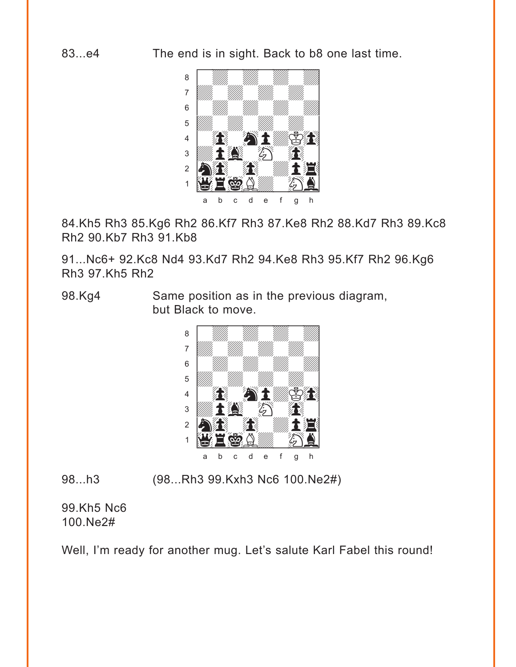83...e4 The end is in sight. Back to b8 one last time.



84.Kh5 Rh3 85.Kg6 Rh2 86.Kf7 Rh3 87.Ke8 Rh2 88.Kd7 Rh3 89.Kc8 Rh2 90.Kb7 Rh3 91.Kb8

91...Nc6+ 92.Kc8 Nd4 93.Kd7 Rh2 94.Ke8 Rh3 95.Kf7 Rh2 96.Kg6 Rh3 97.Kh5 Rh2

98.Kg4 Same position as in the previous diagram, but Black to move.



98...h3 (98...Rh3 99.Kxh3 Nc6 100.Ne2#)

99.Kh5 Nc6 100.Ne2#

Well, I'm ready for another mug. Let's salute Karl Fabel this round!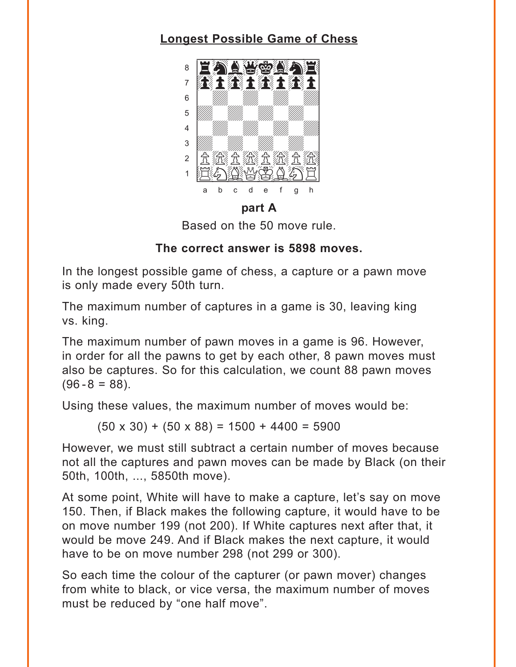# <span id="page-16-0"></span>**Longest Possible Game of Chess**



part A

Based on the 50 move rule.

#### The correct answer is 5898 moves.

In the longest possible game of chess, a capture or a pawn move is only made every 50th turn.

The maximum number of captures in a game is 30, leaving king vs. king.

The maximum number of pawn moves in a game is 96. However, in order for all the pawns to get by each other, 8 pawn moves must also be captures. So for this calculation, we count 88 pawn moves  $(96 - 8 = 88)$ .

Using these values, the maximum number of moves would be:

 $(50 \times 30) + (50 \times 88) = 1500 + 4400 = 5900$ 

However, we must still subtract a certain number of moves because not all the captures and pawn moves can be made by Black (on their 50th, 100th, ..., 5850th move).

At some point, White will have to make a capture, let's say on move 150. Then, if Black makes the following capture, it would have to be on move number 199 (not 200). If White captures next after that, it would be move 249. And if Black makes the next capture, it would have to be on move number 298 (not 299 or 300).

So each time the colour of the capturer (or pawn mover) changes from white to black, or vice versa, the maximum number of moves must be reduced by "one half move".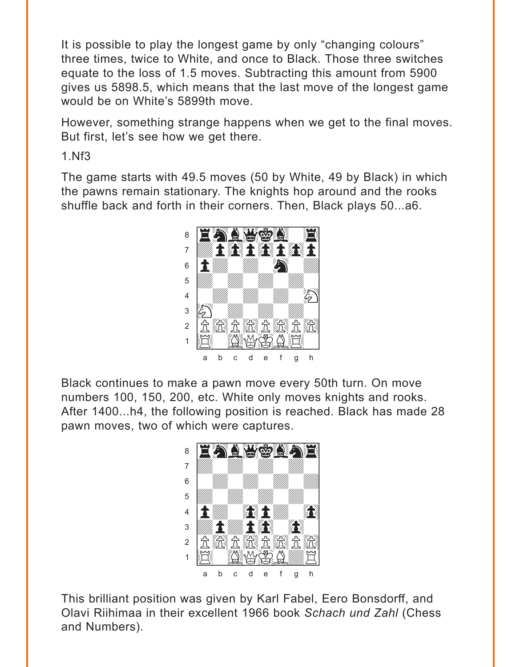It is possible to play the longest game by only "changing colours" three times, twice to White, and once to Black. Those three switches equate to the loss of 1.5 moves. Subtracting this amount from 5900 gives us 5898.5, which means that the last move of the longest game would be on White's 5899th move.

However, something strange happens when we get to the final moves. But first, let's see how we get there.

1.Nf3

The game starts with 49.5 moves (50 by White, 49 by Black) in which the pawns remain stationary. The knights hop around and the rooks shuffle back and forth in their corners. Then, Black plays 50...a6.



Black continues to make a pawn move every 50th turn. On move numbers 100, 150, 200, etc. White only moves knights and rooks. After 1400...h4, the following position is reached. Black has made 28 pawn moves, two of which were captures.



This brilliant position was given by Karl Fabel, Eero Bonsdorff, and Olavi Riihimaa in their excellent 1966 book *Schach und Zahl* (Chess and Numbers).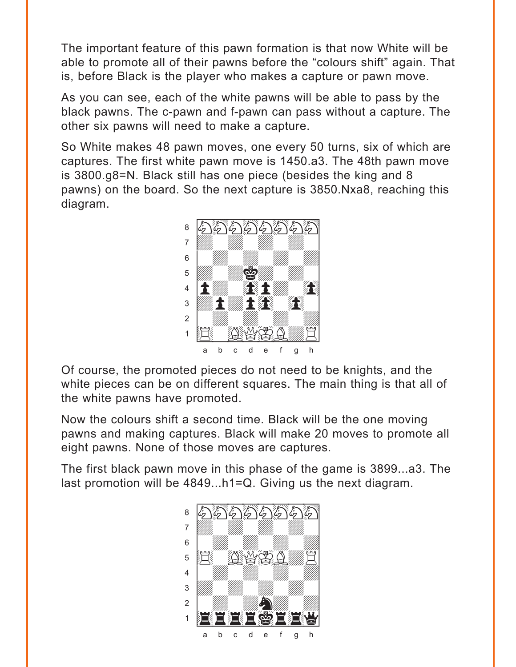The important feature of this pawn formation is that now White will be able to promote all of their pawns before the "colours shift" again. That is, before Black is the player who makes a capture or pawn move.

As you can see, each of the white pawns will be able to pass by the black pawns. The c-pawn and f-pawn can pass without a capture. The other six pawns will need to make a capture.

So White makes 48 pawn moves, one every 50 turns, six of which are captures. The first white pawn move is 1450.a3. The 48th pawn move is 3800.g8=N. Black still has one piece (besides the king and 8 pawns) on the board. So the next capture is 3850.Nxa8, reaching this diagram.



Of course, the promoted pieces do not need to be knights, and the white pieces can be on different squares. The main thing is that all of the white pawns have promoted.

Now the colours shift a second time. Black will be the one moving pawns and making captures. Black will make 20 moves to promote all eight pawns. None of those moves are captures.

The first black pawn move in this phase of the game is 3899...a3. The last promotion will be 4849...h1=Q. Giving us the next diagram.

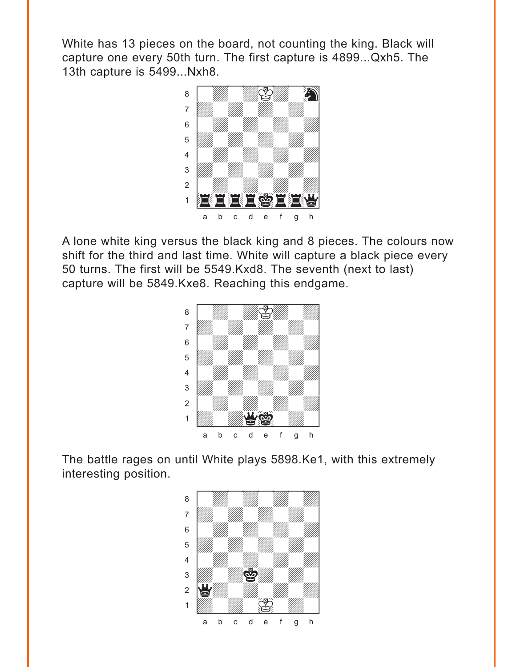White has 13 pieces on the board, not counting the king. Black will capture one every 50th turn. The first capture is 4899...Qxh5. The 13th capture is 5499...Nxh8.



A lone white king versus the black king and 8 pieces. The colours now shift for the third and last time. White will capture a black piece every 50 turns. The first will be 5549.Kxd8. The seventh (next to last) capture will be 5849.Kxe8. Reaching this endgame.



The battle rages on until White plays 5898.Ke1, with this extremely interesting position.

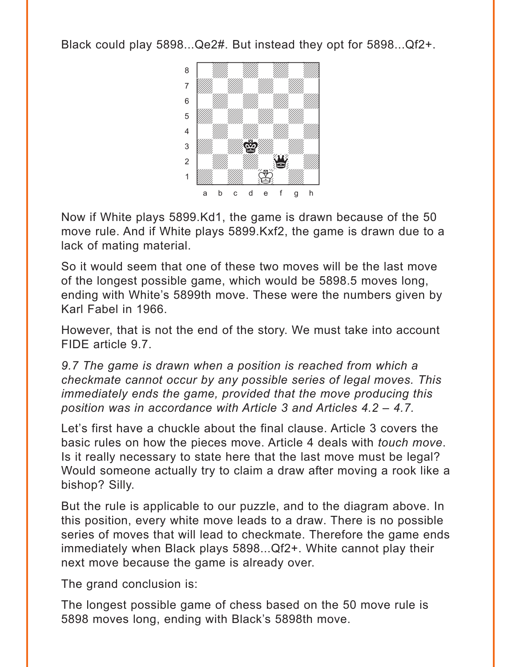Black could play 5898...Qe2#. But instead they opt for 5898...Qf2+.



Now if White plays 5899.Kd1, the game is drawn because of the 50 move rule. And if White plays 5899.Kxf2, the game is drawn due to a lack of mating material.

So it would seem that one of these two moves will be the last move of the longest possible game, which would be 5898.5 moves long, ending with White's 5899th move. These were the numbers given by Karl Fabel in 1966.

However, that is not the end of the story. We must take into account FIDE article 9.7.

*9.7 The game is drawn when a position is reached from which a checkmate cannot occur by any possible series of legal moves. This immediately ends the game, provided that the move producing this position was in accordance with Article 3 and Articles 4.2 – 4.7.* 

Let's first have a chuckle about the final clause. Article 3 covers the basic rules on how the pieces move. Article 4 deals with *touch move*. Is it really necessary to state here that the last move must be legal? Would someone actually try to claim a draw after moving a rook like a bishop? Silly.

But the rule is applicable to our puzzle, and to the diagram above. In this position, every white move leads to a draw. There is no possible series of moves that will lead to checkmate. Therefore the game ends immediately when Black plays 5898...Qf2+. White cannot play their next move because the game is already over.

The grand conclusion is:

The longest possible game of chess based on the 50 move rule is 5898 moves long, ending with Black's 5898th move.